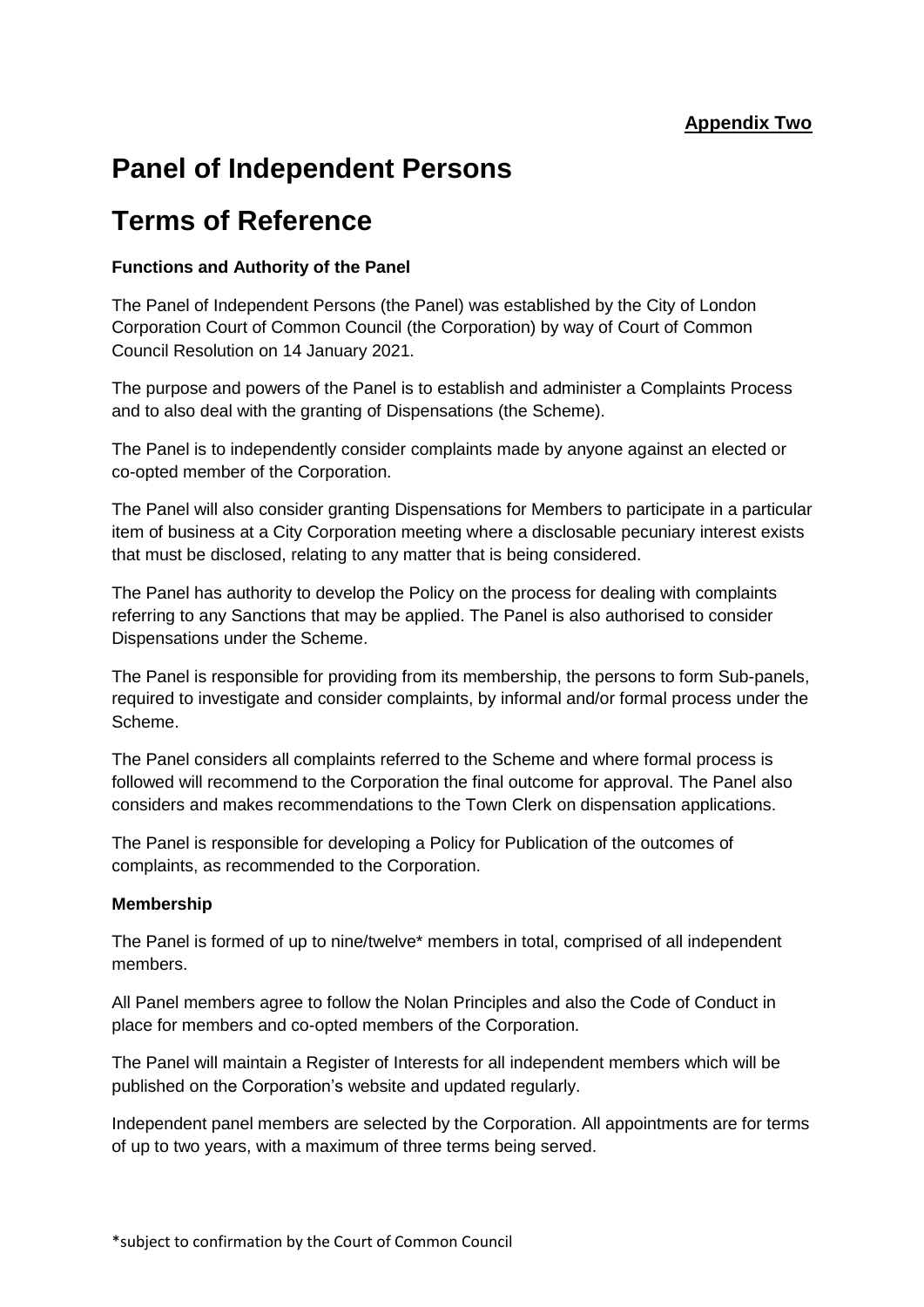# **Panel of Independent Persons**

## **Terms of Reference**

### **Functions and Authority of the Panel**

The Panel of Independent Persons (the Panel) was established by the City of London Corporation Court of Common Council (the Corporation) by way of Court of Common Council Resolution on 14 January 2021.

The purpose and powers of the Panel is to establish and administer a Complaints Process and to also deal with the granting of Dispensations (the Scheme).

The Panel is to independently consider complaints made by anyone against an elected or co-opted member of the Corporation.

The Panel will also consider granting Dispensations for Members to participate in a particular item of business at a City Corporation meeting where a disclosable pecuniary interest exists that must be disclosed, relating to any matter that is being considered.

The Panel has authority to develop the Policy on the process for dealing with complaints referring to any Sanctions that may be applied. The Panel is also authorised to consider Dispensations under the Scheme.

The Panel is responsible for providing from its membership, the persons to form Sub-panels, required to investigate and consider complaints, by informal and/or formal process under the Scheme.

The Panel considers all complaints referred to the Scheme and where formal process is followed will recommend to the Corporation the final outcome for approval. The Panel also considers and makes recommendations to the Town Clerk on dispensation applications.

The Panel is responsible for developing a Policy for Publication of the outcomes of complaints, as recommended to the Corporation.

#### **Membership**

The Panel is formed of up to nine/twelve\* members in total, comprised of all independent members.

All Panel members agree to follow the Nolan Principles and also the Code of Conduct in place for members and co-opted members of the Corporation.

The Panel will maintain a Register of Interests for all independent members which will be published on the Corporation's website and updated regularly.

Independent panel members are selected by the Corporation. All appointments are for terms of up to two years, with a maximum of three terms being served.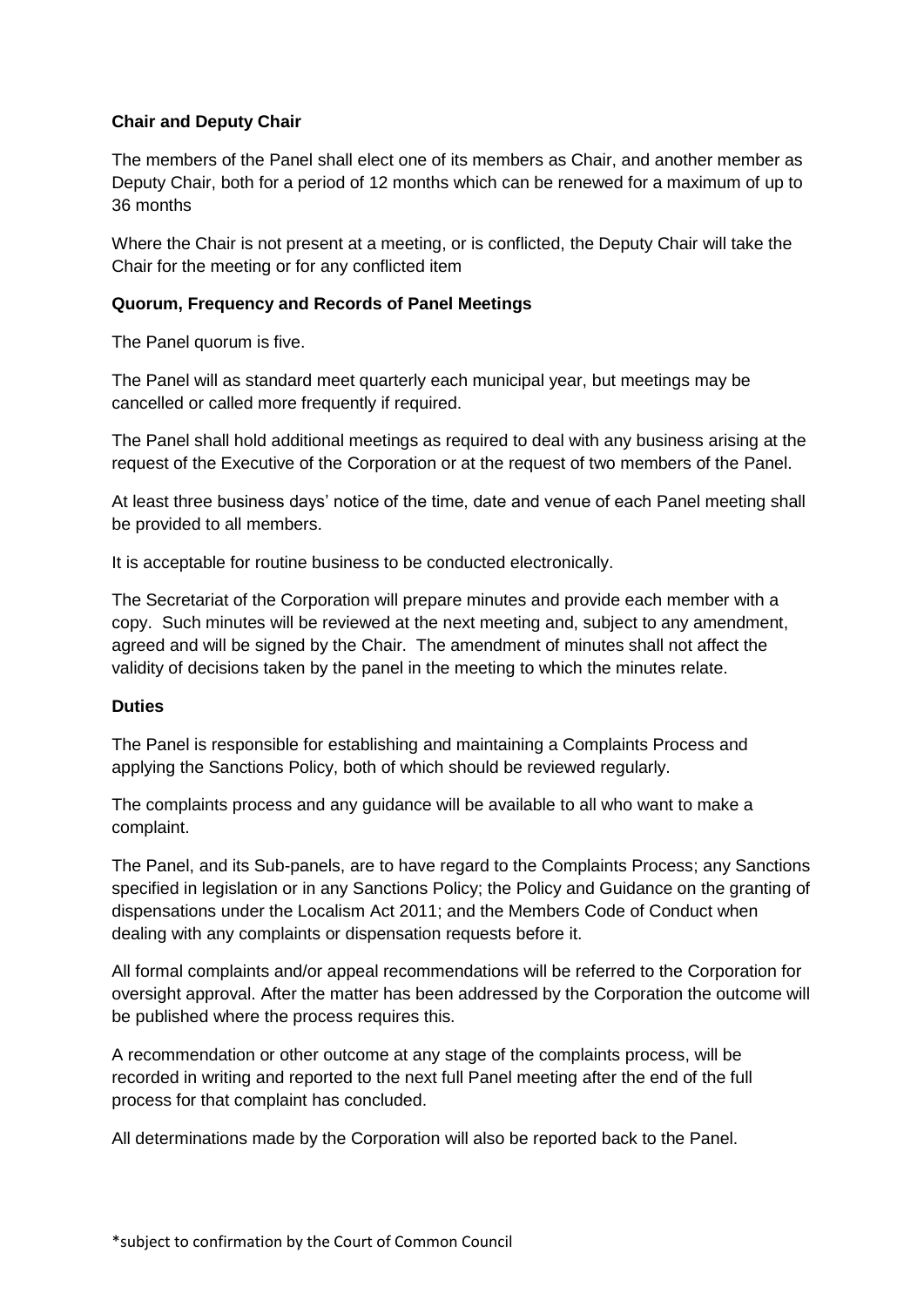#### **Chair and Deputy Chair**

The members of the Panel shall elect one of its members as Chair, and another member as Deputy Chair, both for a period of 12 months which can be renewed for a maximum of up to 36 months

Where the Chair is not present at a meeting, or is conflicted, the Deputy Chair will take the Chair for the meeting or for any conflicted item

#### **Quorum, Frequency and Records of Panel Meetings**

The Panel quorum is five.

The Panel will as standard meet quarterly each municipal year, but meetings may be cancelled or called more frequently if required.

The Panel shall hold additional meetings as required to deal with any business arising at the request of the Executive of the Corporation or at the request of two members of the Panel.

At least three business days' notice of the time, date and venue of each Panel meeting shall be provided to all members.

It is acceptable for routine business to be conducted electronically.

The Secretariat of the Corporation will prepare minutes and provide each member with a copy. Such minutes will be reviewed at the next meeting and, subject to any amendment, agreed and will be signed by the Chair. The amendment of minutes shall not affect the validity of decisions taken by the panel in the meeting to which the minutes relate.

#### **Duties**

The Panel is responsible for establishing and maintaining a Complaints Process and applying the Sanctions Policy, both of which should be reviewed regularly.

The complaints process and any guidance will be available to all who want to make a complaint.

The Panel, and its Sub-panels, are to have regard to the Complaints Process; any Sanctions specified in legislation or in any Sanctions Policy; the Policy and Guidance on the granting of dispensations under the Localism Act 2011; and the Members Code of Conduct when dealing with any complaints or dispensation requests before it.

All formal complaints and/or appeal recommendations will be referred to the Corporation for oversight approval. After the matter has been addressed by the Corporation the outcome will be published where the process requires this.

A recommendation or other outcome at any stage of the complaints process, will be recorded in writing and reported to the next full Panel meeting after the end of the full process for that complaint has concluded.

All determinations made by the Corporation will also be reported back to the Panel.